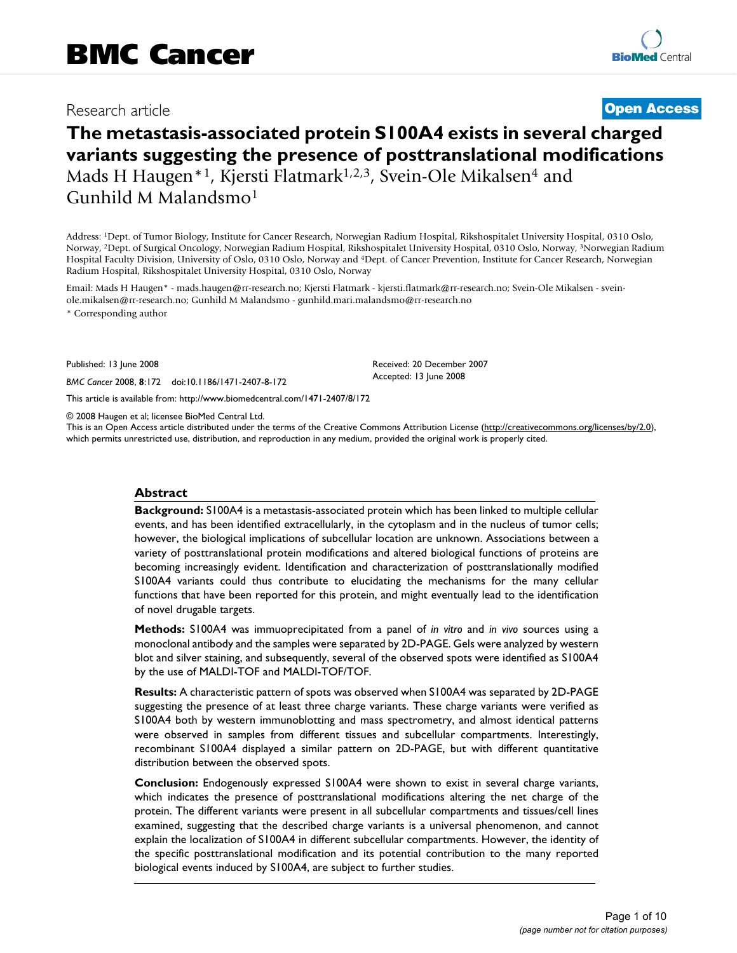## Research article **[Open Access](http://www.biomedcentral.com/info/about/charter/)**

# **The metastasis-associated protein S100A4 exists in several charged variants suggesting the presence of posttranslational modifications** Mads H Haugen<sup>\*1</sup>, Kjersti Flatmark<sup>1,2,3</sup>, Svein-Ole Mikalsen<sup>4</sup> and Gunhild M Malandsmo1

Address: 1Dept. of Tumor Biology, Institute for Cancer Research, Norwegian Radium Hospital, Rikshospitalet University Hospital, 0310 Oslo, Norway, 2Dept. of Surgical Oncology, Norwegian Radium Hospital, Rikshospitalet University Hospital, 0310 Oslo, Norway, 3Norwegian Radium Hospital Faculty Division, University of Oslo, 0310 Oslo, Norway and 4Dept. of Cancer Prevention, Institute for Cancer Research, Norwegian Radium Hospital, Rikshospitalet University Hospital, 0310 Oslo, Norway

Email: Mads H Haugen\* - mads.haugen@rr-research.no; Kjersti Flatmark - kjersti.flatmark@rr-research.no; Svein-Ole Mikalsen - sveinole.mikalsen@rr-research.no; Gunhild M Malandsmo - gunhild.mari.malandsmo@rr-research.no

\* Corresponding author

Published: 13 June 2008

*BMC Cancer* 2008, **8**:172 doi:10.1186/1471-2407-8-172

[This article is available from: http://www.biomedcentral.com/1471-2407/8/172](http://www.biomedcentral.com/1471-2407/8/172)

© 2008 Haugen et al; licensee BioMed Central Ltd.

This is an Open Access article distributed under the terms of the Creative Commons Attribution License [\(http://creativecommons.org/licenses/by/2.0\)](http://creativecommons.org/licenses/by/2.0), which permits unrestricted use, distribution, and reproduction in any medium, provided the original work is properly cited.

Received: 20 December 2007 Accepted: 13 June 2008

#### **Abstract**

**Background:** S100A4 is a metastasis-associated protein which has been linked to multiple cellular events, and has been identified extracellularly, in the cytoplasm and in the nucleus of tumor cells; however, the biological implications of subcellular location are unknown. Associations between a variety of posttranslational protein modifications and altered biological functions of proteins are becoming increasingly evident. Identification and characterization of posttranslationally modified S100A4 variants could thus contribute to elucidating the mechanisms for the many cellular functions that have been reported for this protein, and might eventually lead to the identification of novel drugable targets.

**Methods:** S100A4 was immuoprecipitated from a panel of *in vitro* and *in vivo* sources using a monoclonal antibody and the samples were separated by 2D-PAGE. Gels were analyzed by western blot and silver staining, and subsequently, several of the observed spots were identified as S100A4 by the use of MALDI-TOF and MALDI-TOF/TOF.

**Results:** A characteristic pattern of spots was observed when S100A4 was separated by 2D-PAGE suggesting the presence of at least three charge variants. These charge variants were verified as S100A4 both by western immunoblotting and mass spectrometry, and almost identical patterns were observed in samples from different tissues and subcellular compartments. Interestingly, recombinant S100A4 displayed a similar pattern on 2D-PAGE, but with different quantitative distribution between the observed spots.

**Conclusion:** Endogenously expressed S100A4 were shown to exist in several charge variants, which indicates the presence of posttranslational modifications altering the net charge of the protein. The different variants were present in all subcellular compartments and tissues/cell lines examined, suggesting that the described charge variants is a universal phenomenon, and cannot explain the localization of S100A4 in different subcellular compartments. However, the identity of the specific posttranslational modification and its potential contribution to the many reported biological events induced by S100A4, are subject to further studies.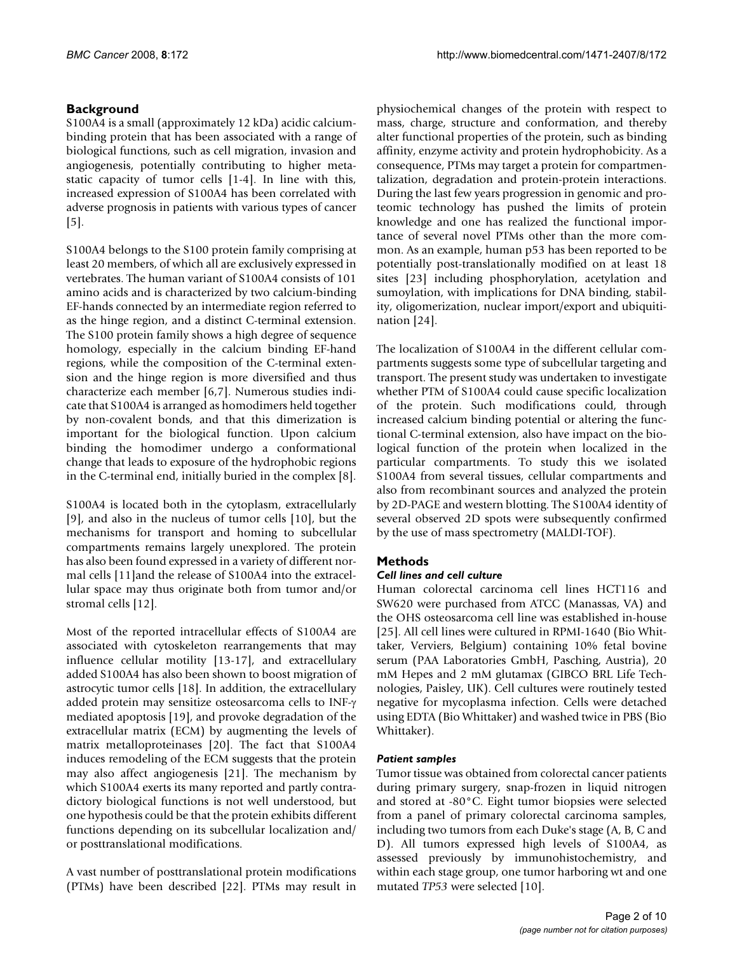#### **Background**

S100A4 is a small (approximately 12 kDa) acidic calciumbinding protein that has been associated with a range of biological functions, such as cell migration, invasion and angiogenesis, potentially contributing to higher metastatic capacity of tumor cells [1-[4](#page-8-0)]. In line with this, increased expression of S100A4 has been correlated with adverse prognosis in patients with various types of cancer [5].

S100A4 belongs to the S100 protein family comprising at least 20 members, of which all are exclusively expressed in vertebrates. The human variant of S100A4 consists of 101 amino acids and is characterized by two calcium-binding EF-hands connected by an intermediate region referred to as the hinge region, and a distinct C-terminal extension. The S100 protein family shows a high degree of sequence homology, especially in the calcium binding EF-hand regions, while the composition of the C-terminal extension and the hinge region is more diversified and thus characterize each member [6,7]. Numerous studies indicate that S100A4 is arranged as homodimers held together by non-covalent bonds, and that this dimerization is important for the biological function. Upon calcium binding the homodimer undergo a conformational change that leads to exposure of the hydrophobic regions in the C-terminal end, initially buried in the complex [8].

S100A4 is located both in the cytoplasm, extracellularly [9], and also in the nucleus of tumor cells [10], but the mechanisms for transport and homing to subcellular compartments remains largely unexplored. The protein has also been found expressed in a variety of different normal cells [11]and the release of S100A4 into the extracellular space may thus originate both from tumor and/or stromal cells [12].

Most of the reported intracellular effects of S100A4 are associated with cytoskeleton rearrangements that may influence cellular motility [13-17], and extracellulary added S100A4 has also been shown to boost migration of astrocytic tumor cells [18]. In addition, the extracellulary added protein may sensitize osteosarcoma cells to INF-γ mediated apoptosis [19], and provoke degradation of the extracellular matrix (ECM) by augmenting the levels of matrix metalloproteinases [20]. The fact that S100A4 induces remodeling of the ECM suggests that the protein may also affect angiogenesis [21]. The mechanism by which S100A4 exerts its many reported and partly contradictory biological functions is not well understood, but one hypothesis could be that the protein exhibits different functions depending on its subcellular localization and/ or posttranslational modifications.

A vast number of posttranslational protein modifications (PTMs) have been described [22]. PTMs may result in

physiochemical changes of the protein with respect to mass, charge, structure and conformation, and thereby alter functional properties of the protein, such as binding affinity, enzyme activity and protein hydrophobicity. As a consequence, PTMs may target a protein for compartmentalization, degradation and protein-protein interactions. During the last few years progression in genomic and proteomic technology has pushed the limits of protein knowledge and one has realized the functional importance of several novel PTMs other than the more common. As an example, human p53 has been reported to be potentially post-translationally modified on at least 18 sites [23] including phosphorylation, acetylation and sumoylation, with implications for DNA binding, stability, oligomerization, nuclear import/export and ubiquitination [24].

The localization of S100A4 in the different cellular compartments suggests some type of subcellular targeting and transport. The present study was undertaken to investigate whether PTM of S100A4 could cause specific localization of the protein. Such modifications could, through increased calcium binding potential or altering the functional C-terminal extension, also have impact on the biological function of the protein when localized in the particular compartments. To study this we isolated S100A4 from several tissues, cellular compartments and also from recombinant sources and analyzed the protein by 2D-PAGE and western blotting. The S100A4 identity of several observed 2D spots were subsequently confirmed by the use of mass spectrometry (MALDI-TOF).

#### **Methods**

#### *Cell lines and cell culture*

Human colorectal carcinoma cell lines HCT116 and SW620 were purchased from ATCC (Manassas, VA) and the OHS osteosarcoma cell line was established in-house [25]. All cell lines were cultured in RPMI-1640 (Bio Whittaker, Verviers, Belgium) containing 10% fetal bovine serum (PAA Laboratories GmbH, Pasching, Austria), 20 mM Hepes and 2 mM glutamax (GIBCO BRL Life Technologies, Paisley, UK). Cell cultures were routinely tested negative for mycoplasma infection. Cells were detached using EDTA (Bio Whittaker) and washed twice in PBS (Bio Whittaker).

#### *Patient samples*

Tumor tissue was obtained from colorectal cancer patients during primary surgery, snap-frozen in liquid nitrogen and stored at -80°C. Eight tumor biopsies were selected from a panel of primary colorectal carcinoma samples, including two tumors from each Duke's stage (A, B, C and D). All tumors expressed high levels of S100A4, as assessed previously by immunohistochemistry, and within each stage group, one tumor harboring wt and one mutated *TP53* were selected [10].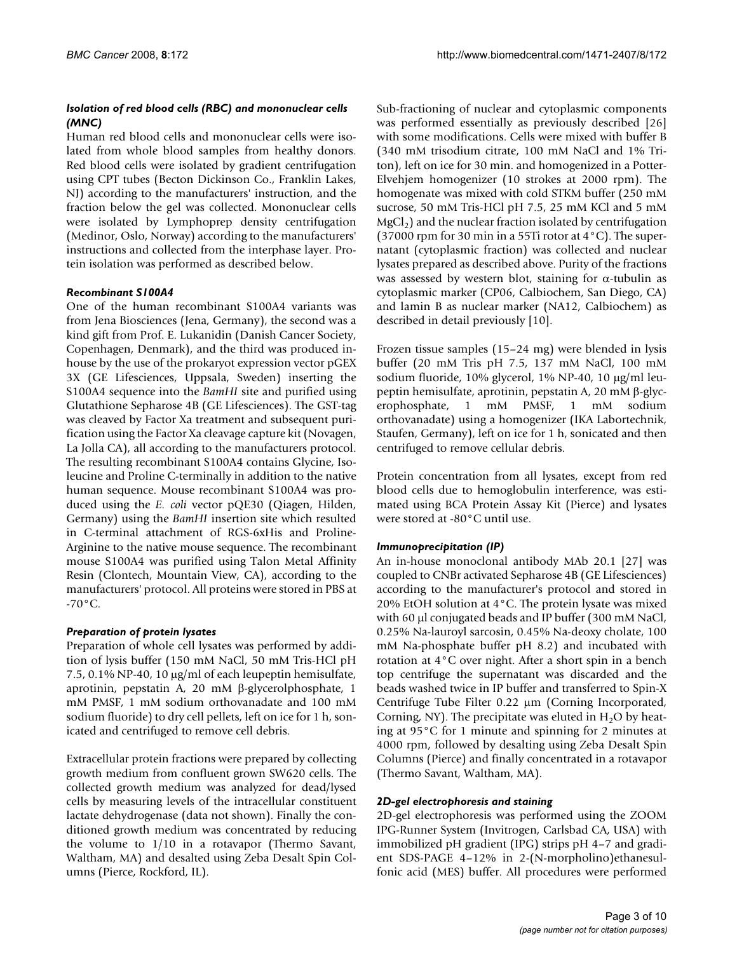#### *Isolation of red blood cells (RBC) and mononuclear cells (MNC)*

Human red blood cells and mononuclear cells were isolated from whole blood samples from healthy donors. Red blood cells were isolated by gradient centrifugation using CPT tubes (Becton Dickinson Co., Franklin Lakes, NJ) according to the manufacturers' instruction, and the fraction below the gel was collected. Mononuclear cells were isolated by Lymphoprep density centrifugation (Medinor, Oslo, Norway) according to the manufacturers' instructions and collected from the interphase layer. Protein isolation was performed as described below.

#### *Recombinant S100A4*

One of the human recombinant S100A4 variants was from Jena Biosciences (Jena, Germany), the second was a kind gift from Prof. E. Lukanidin (Danish Cancer Society, Copenhagen, Denmark), and the third was produced inhouse by the use of the prokaryot expression vector pGEX 3X (GE Lifesciences, Uppsala, Sweden) inserting the S100A4 sequence into the *BamHI* site and purified using Glutathione Sepharose 4B (GE Lifesciences). The GST-tag was cleaved by Factor Xa treatment and subsequent purification using the Factor Xa cleavage capture kit (Novagen, La Jolla CA), all according to the manufacturers protocol. The resulting recombinant S100A4 contains Glycine, Isoleucine and Proline C-terminally in addition to the native human sequence. Mouse recombinant S100A4 was produced using the *E. coli* vector pQE30 (Qiagen, Hilden, Germany) using the *BamHI* insertion site which resulted in C-terminal attachment of RGS-6xHis and Proline-Arginine to the native mouse sequence. The recombinant mouse S100A4 was purified using Talon Metal Affinity Resin (Clontech, Mountain View, CA), according to the manufacturers' protocol. All proteins were stored in PBS at  $-70^{\circ}$ C.

#### *Preparation of protein lysates*

Preparation of whole cell lysates was performed by addition of lysis buffer (150 mM NaCl, 50 mM Tris-HCl pH 7.5, 0.1% NP-40, 10 μg/ml of each leupeptin hemisulfate, aprotinin, pepstatin A, 20 mM β-glycerolphosphate, 1 mM PMSF, 1 mM sodium orthovanadate and 100 mM sodium fluoride) to dry cell pellets, left on ice for 1 h, sonicated and centrifuged to remove cell debris.

Extracellular protein fractions were prepared by collecting growth medium from confluent grown SW620 cells. The collected growth medium was analyzed for dead/lysed cells by measuring levels of the intracellular constituent lactate dehydrogenase (data not shown). Finally the conditioned growth medium was concentrated by reducing the volume to 1/10 in a rotavapor (Thermo Savant, Waltham, MA) and desalted using Zeba Desalt Spin Columns (Pierce, Rockford, IL).

Sub-fractioning of nuclear and cytoplasmic components was performed essentially as previously described [26] with some modifications. Cells were mixed with buffer B (340 mM trisodium citrate, 100 mM NaCl and 1% Triton), left on ice for 30 min. and homogenized in a Potter-Elvehjem homogenizer (10 strokes at 2000 rpm). The homogenate was mixed with cold STKM buffer (250 mM sucrose, 50 mM Tris-HCl pH 7.5, 25 mM KCl and 5 mM  $MgCl<sub>2</sub>$ ) and the nuclear fraction isolated by centrifugation (37000 rpm for 30 min in a 55Ti rotor at 4°C). The supernatant (cytoplasmic fraction) was collected and nuclear lysates prepared as described above. Purity of the fractions was assessed by western blot, staining for  $\alpha$ -tubulin as cytoplasmic marker (CP06, Calbiochem, San Diego, CA) and lamin B as nuclear marker (NA12, Calbiochem) as described in detail previously [10].

Frozen tissue samples (15–24 mg) were blended in lysis buffer (20 mM Tris pH 7.5, 137 mM NaCl, 100 mM sodium fluoride, 10% glycerol, 1% NP-40, 10 μg/ml leupeptin hemisulfate, aprotinin, pepstatin A, 20 mM β-glycerophosphate, 1 mM PMSF, 1 mM sodium orthovanadate) using a homogenizer (IKA Labortechnik, Staufen, Germany), left on ice for 1 h, sonicated and then centrifuged to remove cellular debris.

Protein concentration from all lysates, except from red blood cells due to hemoglobulin interference, was estimated using BCA Protein Assay Kit (Pierce) and lysates were stored at -80°C until use.

#### *Immunoprecipitation (IP)*

An in-house monoclonal antibody MAb 20.1 [27] was coupled to CNBr activated Sepharose 4B (GE Lifesciences) according to the manufacturer's protocol and stored in 20% EtOH solution at 4°C. The protein lysate was mixed with 60 μl conjugated beads and IP buffer (300 mM NaCl, 0.25% Na-lauroyl sarcosin, 0.45% Na-deoxy cholate, 100 mM Na-phosphate buffer pH 8.2) and incubated with rotation at 4°C over night. After a short spin in a bench top centrifuge the supernatant was discarded and the beads washed twice in IP buffer and transferred to Spin-X Centrifuge Tube Filter 0.22 μm (Corning Incorporated, Corning, NY). The precipitate was eluted in  $H_2O$  by heating at 95°C for 1 minute and spinning for 2 minutes at 4000 rpm, followed by desalting using Zeba Desalt Spin Columns (Pierce) and finally concentrated in a rotavapor (Thermo Savant, Waltham, MA).

#### *2D-gel electrophoresis and staining*

2D-gel electrophoresis was performed using the ZOOM IPG-Runner System (Invitrogen, Carlsbad CA, USA) with immobilized pH gradient (IPG) strips pH 4–7 and gradient SDS-PAGE 4–12% in 2-(N-morpholino)ethanesulfonic acid (MES) buffer. All procedures were performed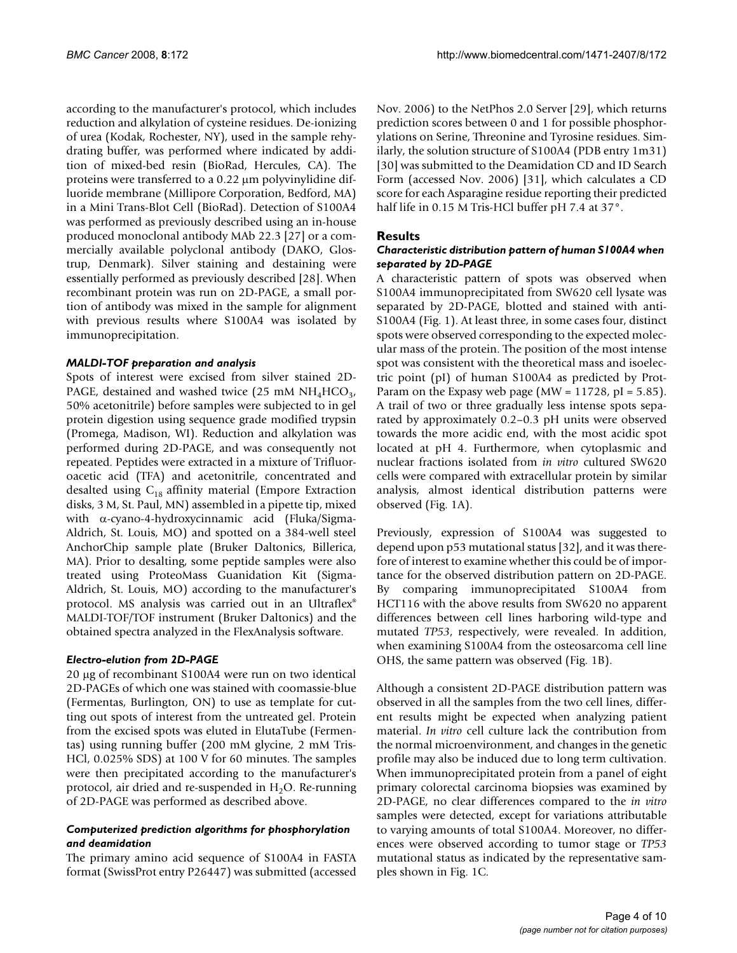according to the manufacturer's protocol, which includes reduction and alkylation of cysteine residues. De-ionizing of urea (Kodak, Rochester, NY), used in the sample rehydrating buffer, was performed where indicated by addition of mixed-bed resin (BioRad, Hercules, CA). The proteins were transferred to a 0.22 μm polyvinylidine difluoride membrane (Millipore Corporation, Bedford, MA) in a Mini Trans-Blot Cell (BioRad). Detection of S100A4 was performed as previously described using an in-house produced monoclonal antibody MAb 22.3 [27] or a commercially available polyclonal antibody (DAKO, Glostrup, Denmark). Silver staining and destaining were essentially performed as previously described [28]. When recombinant protein was run on 2D-PAGE, a small portion of antibody was mixed in the sample for alignment with previous results where S100A4 was isolated by immunoprecipitation.

#### *MALDI-TOF preparation and analysis*

Spots of interest were excised from silver stained 2D-PAGE, destained and washed twice (25 mM  $NH<sub>4</sub>HCO<sub>3</sub>$ , 50% acetonitrile) before samples were subjected to in gel protein digestion using sequence grade modified trypsin (Promega, Madison, WI). Reduction and alkylation was performed during 2D-PAGE, and was consequently not repeated. Peptides were extracted in a mixture of Trifluoroacetic acid (TFA) and acetonitrile, concentrated and desalted using  $C_{18}$  affinity material (Empore Extraction disks, 3 M, St. Paul, MN) assembled in a pipette tip, mixed with α-cyano-4-hydroxycinnamic acid (Fluka/Sigma-Aldrich, St. Louis, MO) and spotted on a 384-well steel AnchorChip sample plate (Bruker Daltonics, Billerica, MA). Prior to desalting, some peptide samples were also treated using ProteoMass Guanidation Kit (Sigma-Aldrich, St. Louis, MO) according to the manufacturer's protocol. MS analysis was carried out in an Ultraflex® MALDI-TOF/TOF instrument (Bruker Daltonics) and the obtained spectra analyzed in the FlexAnalysis software.

#### *Electro-elution from 2D-PAGE*

20 μg of recombinant S100A4 were run on two identical 2D-PAGEs of which one was stained with coomassie-blue (Fermentas, Burlington, ON) to use as template for cutting out spots of interest from the untreated gel. Protein from the excised spots was eluted in ElutaTube (Fermentas) using running buffer (200 mM glycine, 2 mM Tris-HCl, 0.025% SDS) at 100 V for 60 minutes. The samples were then precipitated according to the manufacturer's protocol, air dried and re-suspended in  $H_2O$ . Re-running of 2D-PAGE was performed as described above.

#### *Computerized prediction algorithms for phosphorylation and deamidation*

The primary amino acid sequence of S100A4 in FASTA format (SwissProt entry P26447) was submitted (accessed

Nov. 2006) to the NetPhos 2.0 Server [29], which returns prediction scores between 0 and 1 for possible phosphorylations on Serine, Threonine and Tyrosine residues. Similarly, the solution structure of S100A4 (PDB entry 1m31) [30] was submitted to the Deamidation CD and ID Search Form (accessed Nov. 2006) [31], which calculates a CD score for each Asparagine residue reporting their predicted half life in 0.15 M Tris-HCl buffer pH 7.4 at 37°.

#### **Results**

#### *Characteristic distribution pattern of human S100A4 when separated by 2D-PAGE*

A characteristic pattern of spots was observed when S100A4 immunoprecipitated from SW620 cell lysate was separated by 2D-PAGE, blotted and stained with anti-S100A4 (Fig. 1). At least three, in some cases four, distinct spots were observed corresponding to the expected molecular mass of the protein. The position of the most intense spot was consistent with the theoretical mass and isoelectric point (pI) of human S100A4 as predicted by Prot-Param on the Expasy web page (MW =  $11728$ , pI =  $5.85$ ). A trail of two or three gradually less intense spots separated by approximately 0.2–0.3 pH units were observed towards the more acidic end, with the most acidic spot located at pH 4. Furthermore, when cytoplasmic and nuclear fractions isolated from *in vitro* cultured SW620 cells were compared with extracellular protein by similar analysis, almost identical distribution patterns were observed (Fig. 1A).

Previously, expression of S100A4 was suggested to depend upon p53 mutational status [32], and it was therefore of interest to examine whether this could be of importance for the observed distribution pattern on 2D-PAGE. By comparing immunoprecipitated S100A4 from HCT116 with the above results from SW620 no apparent differences between cell lines harboring wild-type and mutated *TP53*, respectively, were revealed. In addition, when examining S100A4 from the osteosarcoma cell line OHS, the same pattern was observed (Fig. 1B).

Although a consistent 2D-PAGE distribution pattern was observed in all the samples from the two cell lines, different results might be expected when analyzing patient material. *In vitro* cell culture lack the contribution from the normal microenvironment, and changes in the genetic profile may also be induced due to long term cultivation. When immunoprecipitated protein from a panel of eight primary colorectal carcinoma biopsies was examined by 2D-PAGE, no clear differences compared to the *in vitro* samples were detected, except for variations attributable to varying amounts of total S100A4. Moreover, no differences were observed according to tumor stage or *TP53* mutational status as indicated by the representative samples shown in Fig. 1C.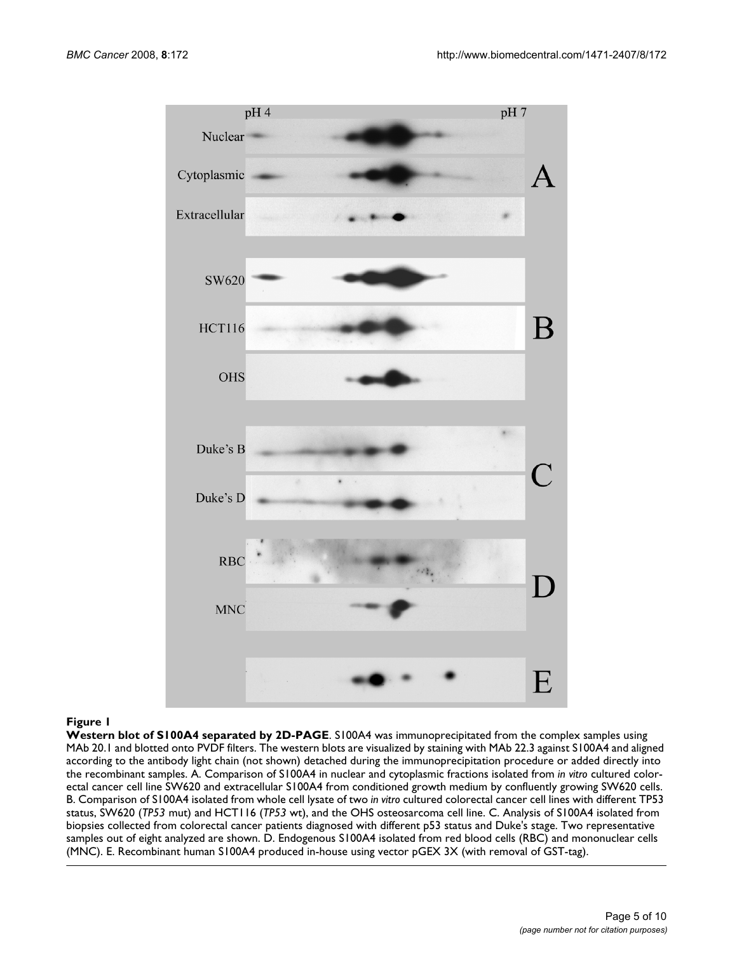

#### **Figure 1**

**Western blot of S100A4 separated by 2D-PAGE**. S100A4 was immunoprecipitated from the complex samples using MAb 20.1 and blotted onto PVDF filters. The western blots are visualized by staining with MAb 22.3 against S100A4 and aligned according to the antibody light chain (not shown) detached during the immunoprecipitation procedure or added directly into the recombinant samples. A. Comparison of S100A4 in nuclear and cytoplasmic fractions isolated from *in vitro* cultured colorectal cancer cell line SW620 and extracellular S100A4 from conditioned growth medium by confluently growing SW620 cells. B. Comparison of S100A4 isolated from whole cell lysate of two *in vitro* cultured colorectal cancer cell lines with different TP53 status, SW620 (*TP53* mut) and HCT116 (*TP53* wt), and the OHS osteosarcoma cell line. C. Analysis of S100A4 isolated from biopsies collected from colorectal cancer patients diagnosed with different p53 status and Duke's stage. Two representative samples out of eight analyzed are shown. D. Endogenous S100A4 isolated from red blood cells (RBC) and mononuclear cells (MNC). E. Recombinant human S100A4 produced in-house using vector pGEX 3X (with removal of GST-tag).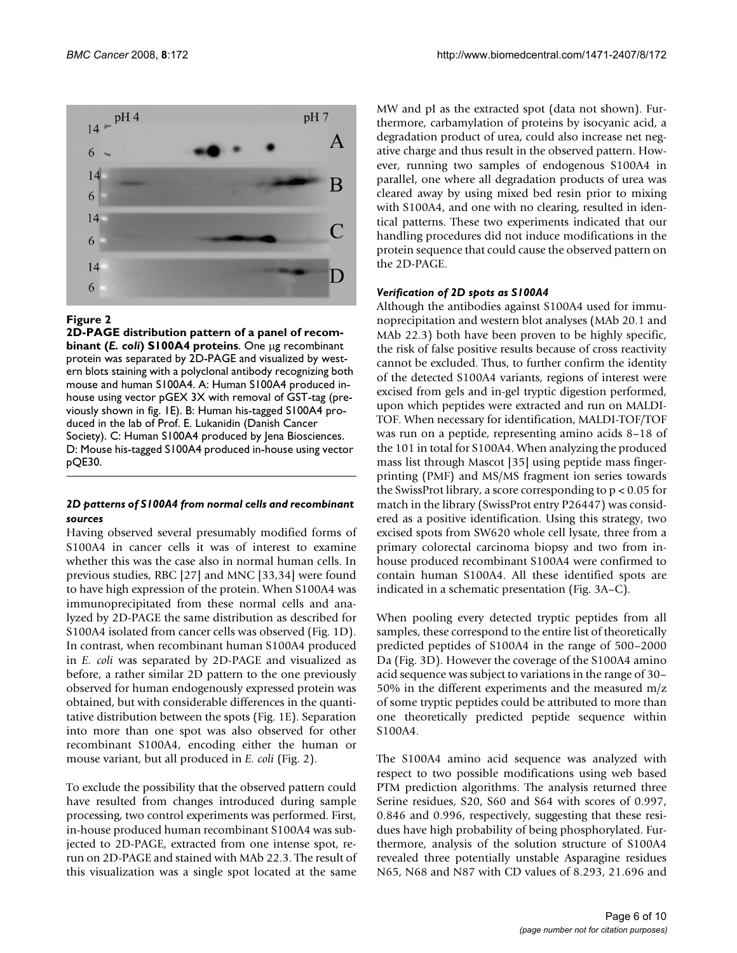

#### Figure 2

**2D-PAGE distribution pattern of a panel of recombinant (***E. coli***) S100A4 proteins**. One μg recombinant protein was separated by 2D-PAGE and visualized by western blots staining with a polyclonal antibody recognizing both mouse and human S100A4. A: Human S100A4 produced inhouse using vector pGEX 3X with removal of GST-tag (previously shown in fig. 1E). B: Human his-tagged S100A4 produced in the lab of Prof. E. Lukanidin (Danish Cancer Society). C: Human S100A4 produced by Jena Biosciences. D: Mouse his-tagged S100A4 produced in-house using vector pQE30.

#### *2D patterns of S100A4 from normal cells and recombinant sources*

Having observed several presumably modified forms of S100A4 in cancer cells it was of interest to examine whether this was the case also in normal human cells. In previous studies, RBC [27] and MNC [33,34] were found to have high expression of the protein. When S100A4 was immunoprecipitated from these normal cells and analyzed by 2D-PAGE the same distribution as described for S100A4 isolated from cancer cells was observed (Fig. 1D). In contrast, when recombinant human S100A4 produced in *E. coli* was separated by 2D-PAGE and visualized as before, a rather similar 2D pattern to the one previously observed for human endogenously expressed protein was obtained, but with considerable differences in the quantitative distribution between the spots (Fig. 1E). Separation into more than one spot was also observed for other recombinant S100A4, encoding either the human or mouse variant, but all produced in *E. coli* (Fig. 2).

To exclude the possibility that the observed pattern could have resulted from changes introduced during sample processing, two control experiments was performed. First, in-house produced human recombinant S100A4 was subjected to 2D-PAGE, extracted from one intense spot, rerun on 2D-PAGE and stained with MAb 22.3. The result of this visualization was a single spot located at the same MW and pI as the extracted spot (data not shown). Furthermore, carbamylation of proteins by isocyanic acid, a degradation product of urea, could also increase net negative charge and thus result in the observed pattern. However, running two samples of endogenous S100A4 in parallel, one where all degradation products of urea was cleared away by using mixed bed resin prior to mixing with S100A4, and one with no clearing, resulted in identical patterns. These two experiments indicated that our handling procedures did not induce modifications in the protein sequence that could cause the observed pattern on the 2D-PAGE.

#### *Verification of 2D spots as S100A4*

Although the antibodies against S100A4 used for immunoprecipitation and western blot analyses (MAb 20.1 and MAb 22.3) both have been proven to be highly specific, the risk of false positive results because of cross reactivity cannot be excluded. Thus, to further confirm the identity of the detected S100A4 variants, regions of interest were excised from gels and in-gel tryptic digestion performed, upon which peptides were extracted and run on MALDI-TOF. When necessary for identification, MALDI-TOF/TOF was run on a peptide, representing amino acids 8–18 of the 101 in total for S100A4. When analyzing the produced mass list through Mascot [35] using peptide mass fingerprinting (PMF) and MS/MS fragment ion series towards the SwissProt library, a score corresponding to p < 0.05 for match in the library (SwissProt entry P26447) was considered as a positive identification. Using this strategy, two excised spots from SW620 whole cell lysate, three from a primary colorectal carcinoma biopsy and two from inhouse produced recombinant S100A4 were confirmed to contain human S100A4. All these identified spots are indicated in a schematic presentation (Fig. 3A–C).

When pooling every detected tryptic peptides from all samples, these correspond to the entire list of theoretically predicted peptides of S100A4 in the range of 500–2000 Da (Fig. 3D). However the coverage of the S100A4 amino acid sequence was subject to variations in the range of 30– 50% in the different experiments and the measured m/z of some tryptic peptides could be attributed to more than one theoretically predicted peptide sequence within S100A4.

The S100A4 amino acid sequence was analyzed with respect to two possible modifications using web based PTM prediction algorithms. The analysis returned three Serine residues, S20, S60 and S64 with scores of 0.997, 0.846 and 0.996, respectively, suggesting that these residues have high probability of being phosphorylated. Furthermore, analysis of the solution structure of S100A4 revealed three potentially unstable Asparagine residues N65, N68 and N87 with CD values of 8.293, 21.696 and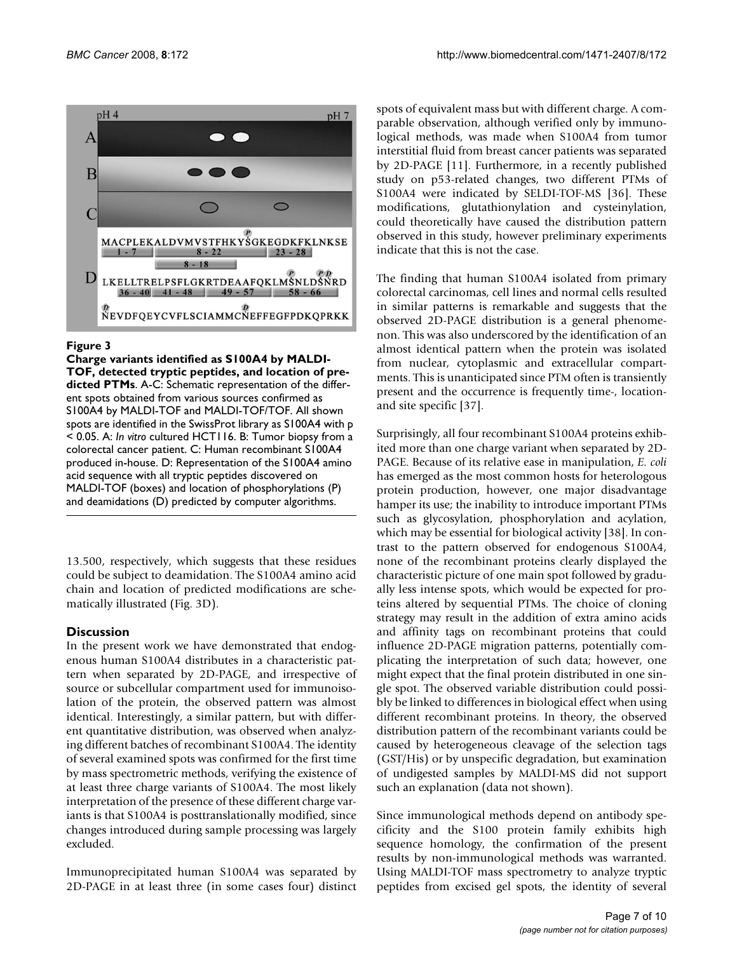

#### Figure 3

**Charge variants identified as S100A4 by MALDI-TOF, detected tryptic peptides, and location of predicted PTMs**. A-C: Schematic representation of the different spots obtained from various sources confirmed as S100A4 by MALDI-TOF and MALDI-TOF/TOF. All shown spots are identified in the SwissProt library as S100A4 with p < 0.05. A: *In vitro* cultured HCT116. B: Tumor biopsy from a colorectal cancer patient. C: Human recombinant S100A4 produced in-house. D: Representation of the S100A4 amino acid sequence with all tryptic peptides discovered on MALDI-TOF (boxes) and location of phosphorylations (P) and deamidations (D) predicted by computer algorithms.

13.500, respectively, which suggests that these residues could be subject to deamidation. The S100A4 amino acid chain and location of predicted modifications are schematically illustrated (Fig. 3D).

### **Discussion**

In the present work we have demonstrated that endogenous human S100A4 distributes in a characteristic pattern when separated by 2D-PAGE, and irrespective of source or subcellular compartment used for immunoisolation of the protein, the observed pattern was almost identical. Interestingly, a similar pattern, but with different quantitative distribution, was observed when analyzing different batches of recombinant S100A4. The identity of several examined spots was confirmed for the first time by mass spectrometric methods, verifying the existence of at least three charge variants of S100A4. The most likely interpretation of the presence of these different charge variants is that S100A4 is posttranslationally modified, since changes introduced during sample processing was largely excluded.

Immunoprecipitated human S100A4 was separated by 2D-PAGE in at least three (in some cases four) distinct spots of equivalent mass but with different charge. A comparable observation, although verified only by immunological methods, was made when S100A4 from tumor interstitial fluid from breast cancer patients was separated by 2D-PAGE [11]. Furthermore, in a recently published study on p53-related changes, two different PTMs of S100A4 were indicated by SELDI-TOF-MS [36]. These modifications, glutathionylation and cysteinylation, could theoretically have caused the distribution pattern observed in this study, however preliminary experiments indicate that this is not the case.

The finding that human S100A4 isolated from primary colorectal carcinomas, cell lines and normal cells resulted in similar patterns is remarkable and suggests that the observed 2D-PAGE distribution is a general phenomenon. This was also underscored by the identification of an almost identical pattern when the protein was isolated from nuclear, cytoplasmic and extracellular compartments. This is unanticipated since PTM often is transiently present and the occurrence is frequently time-, locationand site specific [37].

Surprisingly, all four recombinant S100A4 proteins exhibited more than one charge variant when separated by 2D-PAGE. Because of its relative ease in manipulation, *E. coli* has emerged as the most common hosts for heterologous protein production, however, one major disadvantage hamper its use; the inability to introduce important PTMs such as glycosylation, phosphorylation and acylation, which may be essential for biological activity [38]. In contrast to the pattern observed for endogenous S100A4, none of the recombinant proteins clearly displayed the characteristic picture of one main spot followed by gradually less intense spots, which would be expected for proteins altered by sequential PTMs. The choice of cloning strategy may result in the addition of extra amino acids and affinity tags on recombinant proteins that could influence 2D-PAGE migration patterns, potentially complicating the interpretation of such data; however, one might expect that the final protein distributed in one single spot. The observed variable distribution could possibly be linked to differences in biological effect when using different recombinant proteins. In theory, the observed distribution pattern of the recombinant variants could be caused by heterogeneous cleavage of the selection tags (GST/His) or by unspecific degradation, but examination of undigested samples by MALDI-MS did not support such an explanation (data not shown).

Since immunological methods depend on antibody specificity and the S100 protein family exhibits high sequence homology, the confirmation of the present results by non-immunological methods was warranted. Using MALDI-TOF mass spectrometry to analyze tryptic peptides from excised gel spots, the identity of several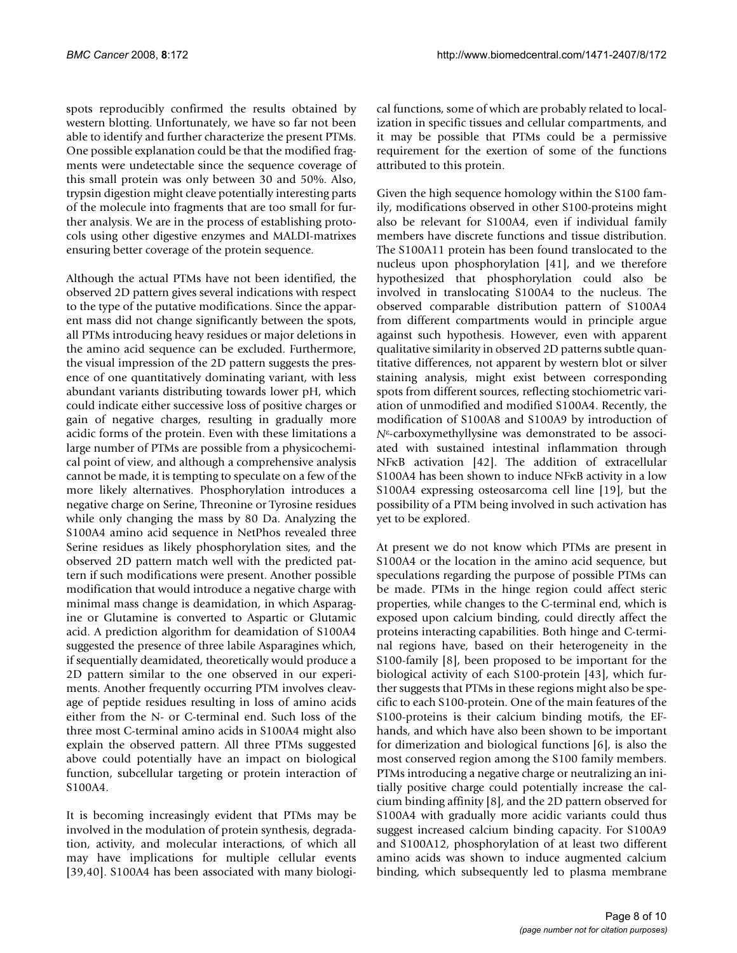spots reproducibly confirmed the results obtained by western blotting. Unfortunately, we have so far not been able to identify and further characterize the present PTMs. One possible explanation could be that the modified fragments were undetectable since the sequence coverage of this small protein was only between 30 and 50%. Also, trypsin digestion might cleave potentially interesting parts of the molecule into fragments that are too small for further analysis. We are in the process of establishing protocols using other digestive enzymes and MALDI-matrixes ensuring better coverage of the protein sequence.

Although the actual PTMs have not been identified, the observed 2D pattern gives several indications with respect to the type of the putative modifications. Since the apparent mass did not change significantly between the spots, all PTMs introducing heavy residues or major deletions in the amino acid sequence can be excluded. Furthermore, the visual impression of the 2D pattern suggests the presence of one quantitatively dominating variant, with less abundant variants distributing towards lower pH, which could indicate either successive loss of positive charges or gain of negative charges, resulting in gradually more acidic forms of the protein. Even with these limitations a large number of PTMs are possible from a physicochemical point of view, and although a comprehensive analysis cannot be made, it is tempting to speculate on a few of the more likely alternatives. Phosphorylation introduces a negative charge on Serine, Threonine or Tyrosine residues while only changing the mass by 80 Da. Analyzing the S100A4 amino acid sequence in NetPhos revealed three Serine residues as likely phosphorylation sites, and the observed 2D pattern match well with the predicted pattern if such modifications were present. Another possible modification that would introduce a negative charge with minimal mass change is deamidation, in which Asparagine or Glutamine is converted to Aspartic or Glutamic acid. A prediction algorithm for deamidation of S100A4 suggested the presence of three labile Asparagines which, if sequentially deamidated, theoretically would produce a 2D pattern similar to the one observed in our experiments. Another frequently occurring PTM involves cleavage of peptide residues resulting in loss of amino acids either from the N- or C-terminal end. Such loss of the three most C-terminal amino acids in S100A4 might also explain the observed pattern. All three PTMs suggested above could potentially have an impact on biological function, subcellular targeting or protein interaction of S100A4.

It is becoming increasingly evident that PTMs may be involved in the modulation of protein synthesis, degradation, activity, and molecular interactions, of which all may have implications for multiple cellular events [39,40]. S100A4 has been associated with many biological functions, some of which are probably related to localization in specific tissues and cellular compartments, and it may be possible that PTMs could be a permissive requirement for the exertion of some of the functions attributed to this protein.

Given the high sequence homology within the S100 family, modifications observed in other S100-proteins might also be relevant for S100A4, even if individual family members have discrete functions and tissue distribution. The S100A11 protein has been found translocated to the nucleus upon phosphorylation [41], and we therefore hypothesized that phosphorylation could also be involved in translocating S100A4 to the nucleus. The observed comparable distribution pattern of S100A4 from different compartments would in principle argue against such hypothesis. However, even with apparent qualitative similarity in observed 2D patterns subtle quantitative differences, not apparent by western blot or silver staining analysis, might exist between corresponding spots from different sources, reflecting stochiometric variation of unmodified and modified S100A4. Recently, the modification of S100A8 and S100A9 by introduction of *N*ε-carboxymethyllysine was demonstrated to be associated with sustained intestinal inflammation through NFκB activation [42]. The addition of extracellular S100A4 has been shown to induce NFκB activity in a low S100A4 expressing osteosarcoma cell line [19], but the possibility of a PTM being involved in such activation has yet to be explored.

At present we do not know which PTMs are present in S100A4 or the location in the amino acid sequence, but speculations regarding the purpose of possible PTMs can be made. PTMs in the hinge region could affect steric properties, while changes to the C-terminal end, which is exposed upon calcium binding, could directly affect the proteins interacting capabilities. Both hinge and C-terminal regions have, based on their heterogeneity in the S100-family [8], been proposed to be important for the biological activity of each S100-protein [43], which further suggests that PTMs in these regions might also be specific to each S100-protein. One of the main features of the S100-proteins is their calcium binding motifs, the EFhands, and which have also been shown to be important for dimerization and biological functions [6], is also the most conserved region among the S100 family members. PTMs introducing a negative charge or neutralizing an initially positive charge could potentially increase the calcium binding affinity [8], and the 2D pattern observed for S100A4 with gradually more acidic variants could thus suggest increased calcium binding capacity. For S100A9 and S100A12, phosphorylation of at least two different amino acids was shown to induce augmented calcium binding, which subsequently led to plasma membrane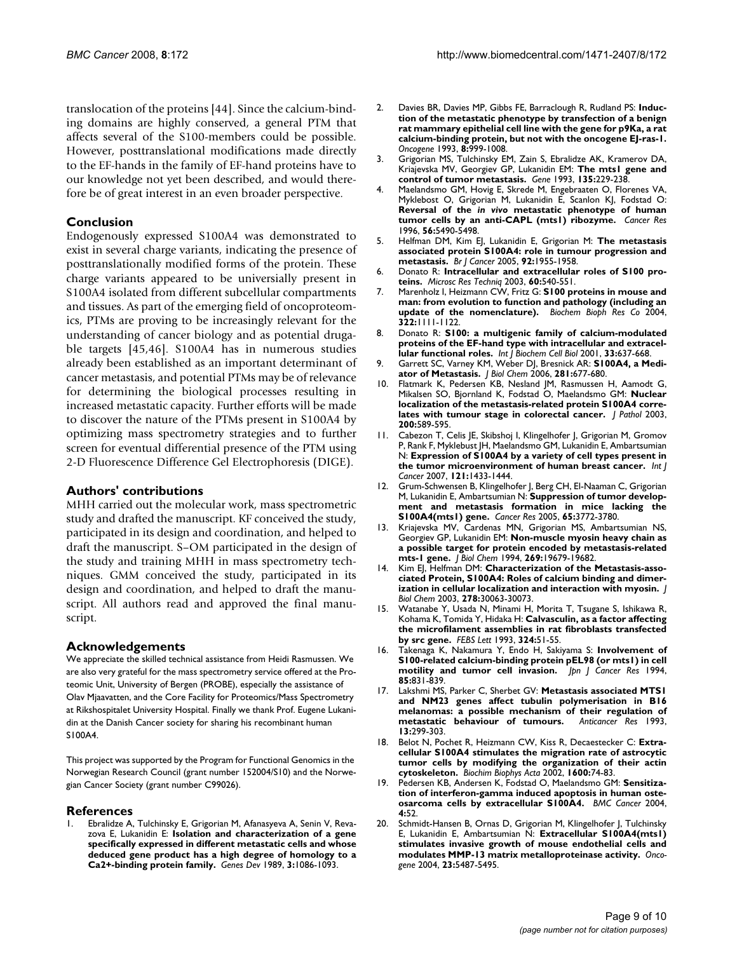translocation of the proteins [44]. Since the calcium-binding domains are highly conserved, a general PTM that affects several of the S100-members could be possible. However, posttranslational modifications made directly to the EF-hands in the family of EF-hand proteins have to our knowledge not yet been described, and would therefore be of great interest in an even broader perspective.

#### **Conclusion**

Endogenously expressed S100A4 was demonstrated to exist in several charge variants, indicating the presence of posttranslationally modified forms of the protein. These charge variants appeared to be universially present in S100A4 isolated from different subcellular compartments and tissues. As part of the emerging field of oncoproteomics, PTMs are proving to be increasingly relevant for the understanding of cancer biology and as potential drugable targets [45,46]. S100A4 has in numerous studies already been established as an important determinant of cancer metastasis, and potential PTMs may be of relevance for determining the biological processes resulting in increased metastatic capacity. Further efforts will be made to discover the nature of the PTMs present in S100A4 by optimizing mass spectrometry strategies and to further screen for eventual differential presence of the PTM using 2-D Fluorescence Difference Gel Electrophoresis (DIGE).

#### **Authors' contributions**

MHH carried out the molecular work, mass spectrometric study and drafted the manuscript. KF conceived the study, participated in its design and coordination, and helped to draft the manuscript. S–OM participated in the design of the study and training MHH in mass spectrometry techniques. GMM conceived the study, participated in its design and coordination, and helped to draft the manuscript. All authors read and approved the final manuscript.

#### **Acknowledgements**

We appreciate the skilled technical assistance from Heidi Rasmussen. We are also very grateful for the mass spectrometry service offered at the Proteomic Unit, University of Bergen (PROBE), especially the assistance of Olav Mjaavatten, and the Core Facility for Proteomics/Mass Spectrometry at Rikshospitalet University Hospital. Finally we thank Prof. Eugene Lukanidin at the Danish Cancer society for sharing his recombinant human S100A4.

This project was supported by the Program for Functional Genomics in the Norwegian Research Council (grant number 152004/S10) and the Norwegian Cancer Society (grant number C99026).

#### **References**

1. Ebralidze A, Tulchinsky E, Grigorian M, Afanasyeva A, Senin V, Revazova E, Lukanidin E: **[Isolation and characterization of a gene](http://www.ncbi.nlm.nih.gov/entrez/query.fcgi?cmd=Retrieve&db=PubMed&dopt=Abstract&list_uids=2550322) [specifically expressed in different metastatic cells and whose](http://www.ncbi.nlm.nih.gov/entrez/query.fcgi?cmd=Retrieve&db=PubMed&dopt=Abstract&list_uids=2550322) deduced gene product has a high degree of homology to a [Ca2+-binding protein family.](http://www.ncbi.nlm.nih.gov/entrez/query.fcgi?cmd=Retrieve&db=PubMed&dopt=Abstract&list_uids=2550322)** *Genes Dev* 1989, **3:**1086-1093.

- 2. Davies BR, Davies MP, Gibbs FE, Barraclough R, Rudland PS: **[Induc](http://www.ncbi.nlm.nih.gov/entrez/query.fcgi?cmd=Retrieve&db=PubMed&dopt=Abstract&list_uids=8455951)[tion of the metastatic phenotype by transfection of a benign](http://www.ncbi.nlm.nih.gov/entrez/query.fcgi?cmd=Retrieve&db=PubMed&dopt=Abstract&list_uids=8455951) rat mammary epithelial cell line with the gene for p9Ka, a rat calcium-binding protein, but not with the oncogene EJ-ras-1.** *Oncogene* 1993, **8:**999-1008.
- 3. Grigorian MS, Tulchinsky EM, Zain S, Ebralidze AK, Kramerov DA, Kriajevska MV, Georgiev GP, Lukanidin EM: **[The mts1 gene and](http://www.ncbi.nlm.nih.gov/entrez/query.fcgi?cmd=Retrieve&db=PubMed&dopt=Abstract&list_uids=8276262) [control of tumor metastasis.](http://www.ncbi.nlm.nih.gov/entrez/query.fcgi?cmd=Retrieve&db=PubMed&dopt=Abstract&list_uids=8276262)** *Gene* 1993, **135:**229-238.
- <span id="page-8-0"></span>4. Maelandsmo GM, Hovig E, Skrede M, Engebraaten O, Florenes VA, Myklebost O, Grigorian M, Lukanidin E, Scanlon KJ, Fodstad O: **Reversal of the** *in vivo* **[metastatic phenotype of human](http://www.ncbi.nlm.nih.gov/entrez/query.fcgi?cmd=Retrieve&db=PubMed&dopt=Abstract&list_uids=8968106) [tumor cells by an anti-CAPL \(mts1\) ribozyme.](http://www.ncbi.nlm.nih.gov/entrez/query.fcgi?cmd=Retrieve&db=PubMed&dopt=Abstract&list_uids=8968106)** *Cancer Res* 1996, **56:**5490-5498.
- 5. Helfman DM, Kim EJ, Lukanidin E, Grigorian M: **[The metastasis](http://www.ncbi.nlm.nih.gov/entrez/query.fcgi?cmd=Retrieve&db=PubMed&dopt=Abstract&list_uids=15900299) [associated protein S100A4: role in tumour progression and](http://www.ncbi.nlm.nih.gov/entrez/query.fcgi?cmd=Retrieve&db=PubMed&dopt=Abstract&list_uids=15900299) [metastasis.](http://www.ncbi.nlm.nih.gov/entrez/query.fcgi?cmd=Retrieve&db=PubMed&dopt=Abstract&list_uids=15900299)** *Br J Cancer* 2005, **92:**1955-1958.
- 6. Donato R: **Intracellular and extracellular roles of S100 proteins.** *Microsc Res Techniq* 2003, **60:**540-551.
- 7. Marenholz I, Heizmann CW, Fritz G: **S100 proteins in mouse and man: from evolution to function and pathology (including an update of the nomenclature).** *Biochem Bioph Res Co* 2004, **322:**1111-1122.
- 8. Donato R: **[S100: a multigenic family of calcium-modulated](http://www.ncbi.nlm.nih.gov/entrez/query.fcgi?cmd=Retrieve&db=PubMed&dopt=Abstract&list_uids=11390274) [proteins of the EF-hand type with intracellular and extracel](http://www.ncbi.nlm.nih.gov/entrez/query.fcgi?cmd=Retrieve&db=PubMed&dopt=Abstract&list_uids=11390274)[lular functional roles.](http://www.ncbi.nlm.nih.gov/entrez/query.fcgi?cmd=Retrieve&db=PubMed&dopt=Abstract&list_uids=11390274)** *Int J Biochem Cell Biol* 2001, **33:**637-668.
- 9. Garrett SC, Varney KM, Weber DJ, Bresnick AR: **[S100A4, a Medi](http://www.ncbi.nlm.nih.gov/entrez/query.fcgi?cmd=Retrieve&db=PubMed&dopt=Abstract&list_uids=16243835)[ator of Metastasis.](http://www.ncbi.nlm.nih.gov/entrez/query.fcgi?cmd=Retrieve&db=PubMed&dopt=Abstract&list_uids=16243835)** *J Biol Chem* 2006, **281:**677-680.
- 10. Flatmark K, Pedersen KB, Nesland JM, Rasmussen H, Aamodt G, Mikalsen SO, Bjornland K, Fodstad O, Maelandsmo GM: **[Nuclear](http://www.ncbi.nlm.nih.gov/entrez/query.fcgi?cmd=Retrieve&db=PubMed&dopt=Abstract&list_uids=12898594) [localization of the metastasis-related protein S100A4 corre](http://www.ncbi.nlm.nih.gov/entrez/query.fcgi?cmd=Retrieve&db=PubMed&dopt=Abstract&list_uids=12898594)[lates with tumour stage in colorectal cancer.](http://www.ncbi.nlm.nih.gov/entrez/query.fcgi?cmd=Retrieve&db=PubMed&dopt=Abstract&list_uids=12898594)** *J Pathol* 2003, **200:**589-595.
- 11. Cabezon T, Celis JE, Skibshoj I, Klingelhofer J, Grigorian M, Gromov P, Rank F, Myklebust JH, Maelandsmo GM, Lukanidin E, Ambartsumian N: **[Expression of S100A4 by a variety of cell types present in](http://www.ncbi.nlm.nih.gov/entrez/query.fcgi?cmd=Retrieve&db=PubMed&dopt=Abstract&list_uids=17565747) [the tumor microenvironment of human breast cancer.](http://www.ncbi.nlm.nih.gov/entrez/query.fcgi?cmd=Retrieve&db=PubMed&dopt=Abstract&list_uids=17565747)** *Int J Cancer* 2007, **121:**1433-1444.
- 12. Grum-Schwensen B, Klingelhofer J, Berg CH, El-Naaman C, Grigorian M, Lukanidin E, Ambartsumian N: **[Suppression of tumor develop](http://www.ncbi.nlm.nih.gov/entrez/query.fcgi?cmd=Retrieve&db=PubMed&dopt=Abstract&list_uids=15867373)[ment and metastasis formation in mice lacking the](http://www.ncbi.nlm.nih.gov/entrez/query.fcgi?cmd=Retrieve&db=PubMed&dopt=Abstract&list_uids=15867373) [S100A4\(mts1\) gene.](http://www.ncbi.nlm.nih.gov/entrez/query.fcgi?cmd=Retrieve&db=PubMed&dopt=Abstract&list_uids=15867373)** *Cancer Res* 2005, **65:**3772-3780.
- 13. Kriajevska MV, Cardenas MN, Grigorian MS, Ambartsumian NS, Georgiev GP, Lukanidin EM: **[Non-muscle myosin heavy chain as](http://www.ncbi.nlm.nih.gov/entrez/query.fcgi?cmd=Retrieve&db=PubMed&dopt=Abstract&list_uids=8051043) [a possible target for protein encoded by metastasis-related](http://www.ncbi.nlm.nih.gov/entrez/query.fcgi?cmd=Retrieve&db=PubMed&dopt=Abstract&list_uids=8051043) [mts-1 gene.](http://www.ncbi.nlm.nih.gov/entrez/query.fcgi?cmd=Retrieve&db=PubMed&dopt=Abstract&list_uids=8051043)** *J Biol Chem* 1994, **269:**19679-19682.
- 14. Kim EJ, Helfman DM: **[Characterization of the Metastasis-asso](http://www.ncbi.nlm.nih.gov/entrez/query.fcgi?cmd=Retrieve&db=PubMed&dopt=Abstract&list_uids=12756252)[ciated Protein, S100A4: Roles of calcium binding and dimer](http://www.ncbi.nlm.nih.gov/entrez/query.fcgi?cmd=Retrieve&db=PubMed&dopt=Abstract&list_uids=12756252)[ization in cellular localization and interaction with myosin.](http://www.ncbi.nlm.nih.gov/entrez/query.fcgi?cmd=Retrieve&db=PubMed&dopt=Abstract&list_uids=12756252)** *J Biol Chem* 2003, **278:**30063-30073.
- 15. Watanabe Y, Usada N, Minami H, Morita T, Tsugane S, Ishikawa R, Kohama K, Tomida Y, Hidaka H: **[Calvasculin, as a factor affecting](http://www.ncbi.nlm.nih.gov/entrez/query.fcgi?cmd=Retrieve&db=PubMed&dopt=Abstract&list_uids=8504859) [the microfilament assemblies in rat fibroblasts transfected](http://www.ncbi.nlm.nih.gov/entrez/query.fcgi?cmd=Retrieve&db=PubMed&dopt=Abstract&list_uids=8504859) [by src gene.](http://www.ncbi.nlm.nih.gov/entrez/query.fcgi?cmd=Retrieve&db=PubMed&dopt=Abstract&list_uids=8504859)** *FEBS Lett* 1993, **324:**51-55.
- 16. Takenaga K, Nakamura Y, Endo H, Sakiyama S: **[Involvement of](http://www.ncbi.nlm.nih.gov/entrez/query.fcgi?cmd=Retrieve&db=PubMed&dopt=Abstract&list_uids=7928629) [S100-related calcium-binding protein pEL98 \(or mts1\) in cell](http://www.ncbi.nlm.nih.gov/entrez/query.fcgi?cmd=Retrieve&db=PubMed&dopt=Abstract&list_uids=7928629) [motility and tumor cell invasion.](http://www.ncbi.nlm.nih.gov/entrez/query.fcgi?cmd=Retrieve&db=PubMed&dopt=Abstract&list_uids=7928629)** *Jpn J Cancer Res* 1994, **85:**831-839.
- 17. Lakshmi MS, Parker C, Sherbet GV: **[Metastasis associated MTS1](http://www.ncbi.nlm.nih.gov/entrez/query.fcgi?cmd=Retrieve&db=PubMed&dopt=Abstract&list_uids=8390799) [and NM23 genes affect tubulin polymerisation in B16](http://www.ncbi.nlm.nih.gov/entrez/query.fcgi?cmd=Retrieve&db=PubMed&dopt=Abstract&list_uids=8390799) melanomas: a possible mechanism of their regulation of** [metastatic behaviour of tumours.](http://www.ncbi.nlm.nih.gov/entrez/query.fcgi?cmd=Retrieve&db=PubMed&dopt=Abstract&list_uids=8390799) **13:**299-303.
- 18. Belot N, Pochet R, Heizmann CW, Kiss R, Decaestecker C: **[Extra](http://www.ncbi.nlm.nih.gov/entrez/query.fcgi?cmd=Retrieve&db=PubMed&dopt=Abstract&list_uids=12445462)[cellular S100A4 stimulates the migration rate of astrocytic](http://www.ncbi.nlm.nih.gov/entrez/query.fcgi?cmd=Retrieve&db=PubMed&dopt=Abstract&list_uids=12445462) tumor cells by modifying the organization of their actin [cytoskeleton.](http://www.ncbi.nlm.nih.gov/entrez/query.fcgi?cmd=Retrieve&db=PubMed&dopt=Abstract&list_uids=12445462)** *Biochim Biophys Acta* 2002, **1600:**74-83.
- 19. Pedersen KB, Andersen K, Fodstad O, Maelandsmo GM: **[Sensitiza](http://www.ncbi.nlm.nih.gov/entrez/query.fcgi?cmd=Retrieve&db=PubMed&dopt=Abstract&list_uids=15318945)[tion of interferon-gamma induced apoptosis in human oste](http://www.ncbi.nlm.nih.gov/entrez/query.fcgi?cmd=Retrieve&db=PubMed&dopt=Abstract&list_uids=15318945)[osarcoma cells by extracellular S100A4.](http://www.ncbi.nlm.nih.gov/entrez/query.fcgi?cmd=Retrieve&db=PubMed&dopt=Abstract&list_uids=15318945)** *BMC Cancer* 2004, **4:**52.
- 20. Schmidt-Hansen B, Ornas D, Grigorian M, Klingelhofer J, Tulchinsky E, Lukanidin E, Ambartsumian N: **[Extracellular S100A4\(mts1\)](http://www.ncbi.nlm.nih.gov/entrez/query.fcgi?cmd=Retrieve&db=PubMed&dopt=Abstract&list_uids=15122322) [stimulates invasive growth of mouse endothelial cells and](http://www.ncbi.nlm.nih.gov/entrez/query.fcgi?cmd=Retrieve&db=PubMed&dopt=Abstract&list_uids=15122322) [modulates MMP-13 matrix metalloproteinase activity.](http://www.ncbi.nlm.nih.gov/entrez/query.fcgi?cmd=Retrieve&db=PubMed&dopt=Abstract&list_uids=15122322)** *Oncogene* 2004, **23:**5487-5495.